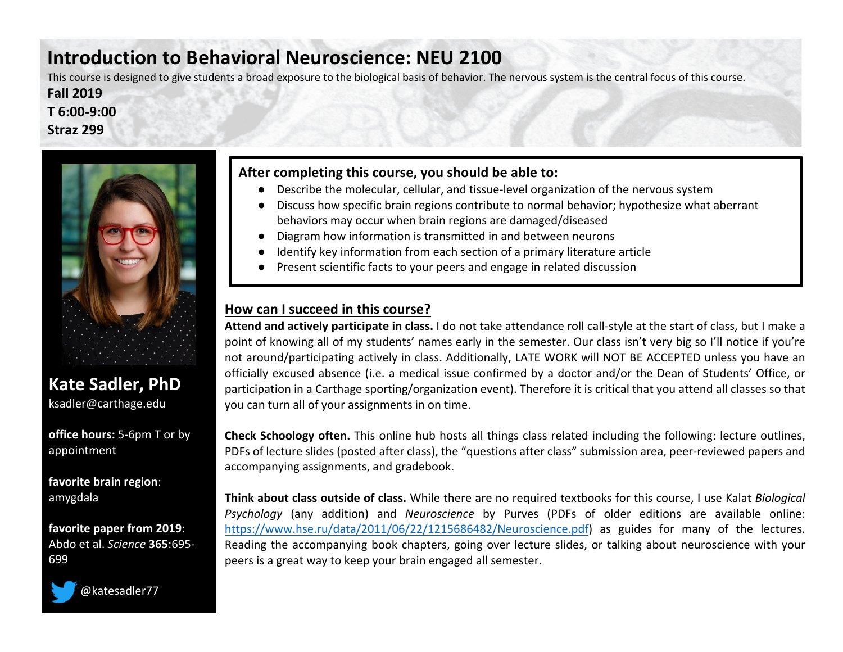# **Introduction to Behavioral Neuroscience: NEU 2100**

This course is designed to give students a broad exposure to the biological basis of behavior. The nervous system is the central focus of this course. **Fall 2019**

**T 6:00-9:00 Straz 299**



## **Kate Sadler, PhD** ksadler@carthage.edu

**office hours:** 5-6pm T or by appointment

**favorite brain region**: amygdala

**favorite paper from 2019**: Abdo et al. *Science* **365**:695- 699



@katesadler77

#### **After completing this course, you should be able to:**

- Describe the molecular, cellular, and tissue-level organization of the nervous system
- Discuss how specific brain regions contribute to normal behavior; hypothesize what aberrant behaviors may occur when brain regions are damaged/diseased
- Diagram how information is transmitted in and between neurons
- Identify key information from each section of a primary literature article
- Present scientific facts to your peers and engage in related discussion

### **How can I succeed in this course?**

**Attend and actively participate in class.** I do not take attendance roll call-style at the start of class, but I make a point of knowing all of my students' names early in the semester. Our class isn't very big so I'll notice if you're not around/participating actively in class. Additionally, LATE WORK will NOT BE ACCEPTED unless you have an officially excused absence (i.e. a medical issue confirmed by a doctor and/or the Dean of Students' Office, or participation in a Carthage sporting/organization event). Therefore it is critical that you attend all classes so that you can turn all of your assignments in on time.

**Check Schoology often.** This online hub hosts all things class related including the following: lecture outlines, PDFs of lecture slides (posted after class), the "questions after class" submission area, peer-reviewed papers and accompanying assignments, and gradebook.

**Think about class outside of class.** While there are no required textbooks for this course, I use Kalat *Biological Psychology* (any addition) and *Neuroscience* by Purves (PDFs of older editions are available online: https://www.hse.ru/data/2011/06/22/1215686482/Neuroscience.pdf) as guides for many of the lectures. Reading the accompanying book chapters, going over lecture slides, or talking about neuroscience with your peers is a great way to keep your brain engaged all semester.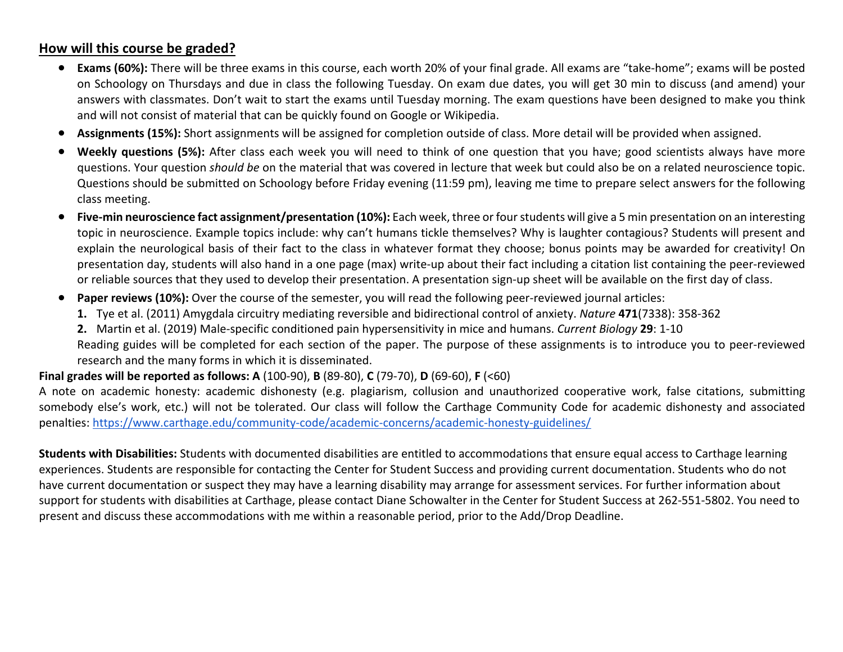### **How will this course be graded?**

- **Exams (60%):** There will be three exams in this course, each worth 20% of your final grade. All exams are "take-home"; exams will be posted on Schoology on Thursdays and due in class the following Tuesday. On exam due dates, you will get 30 min to discuss (and amend) your answers with classmates. Don't wait to start the exams until Tuesday morning. The exam questions have been designed to make you think and will not consist of material that can be quickly found on Google or Wikipedia.
- **Assignments (15%):** Short assignments will be assigned for completion outside of class. More detail will be provided when assigned.
- **Weekly questions (5%):** After class each week you will need to think of one question that you have; good scientists always have more questions. Your question *should be* on the material that was covered in lecture that week but could also be on a related neuroscience topic. Questions should be submitted on Schoology before Friday evening (11:59 pm), leaving me time to prepare select answers for the following class meeting.
- **Five-min neuroscience fact assignment/presentation (10%):** Each week, three or fourstudents will give a 5 min presentation on an interesting topic in neuroscience. Example topics include: why can't humans tickle themselves? Why is laughter contagious? Students will present and explain the neurological basis of their fact to the class in whatever format they choose; bonus points may be awarded for creativity! On presentation day, students will also hand in a one page (max) write-up about their fact including a citation list containing the peer-reviewed or reliable sources that they used to develop their presentation. A presentation sign-up sheet will be available on the first day of class.
- **Paper reviews (10%):** Over the course of the semester, you will read the following peer-reviewed journal articles:
	- **1.** Tye et al. (2011) Amygdala circuitry mediating reversible and bidirectional control of anxiety. *Nature* **471**(7338): 358-362
	- **2.** Martin et al. (2019) Male-specific conditioned pain hypersensitivity in mice and humans. *Current Biology* **29**: 1-10
	- Reading guides will be completed for each section of the paper. The purpose of these assignments is to introduce you to peer-reviewed research and the many forms in which it is disseminated.

#### **Final grades will be reported as follows: A** (100-90), **B** (89-80), **C** (79-70), **D** (69-60), **F** (<60)

A note on academic honesty: academic dishonesty (e.g. plagiarism, collusion and unauthorized cooperative work, false citations, submitting somebody else's work, etc.) will not be tolerated. Our class will follow the Carthage Community Code for academic dishonesty and associated penalties: https://www.carthage.edu/community-code/academic-concerns/academic-honesty-guidelines/

**Students with Disabilities:** Students with documented disabilities are entitled to accommodations that ensure equal access to Carthage learning experiences. Students are responsible for contacting the Center for Student Success and providing current documentation. Students who do not have current documentation or suspect they may have a learning disability may arrange for assessment services. For further information about support for students with disabilities at Carthage, please contact Diane Schowalter in the Center for Student Success at 262-551-5802. You need to present and discuss these accommodations with me within a reasonable period, prior to the Add/Drop Deadline.